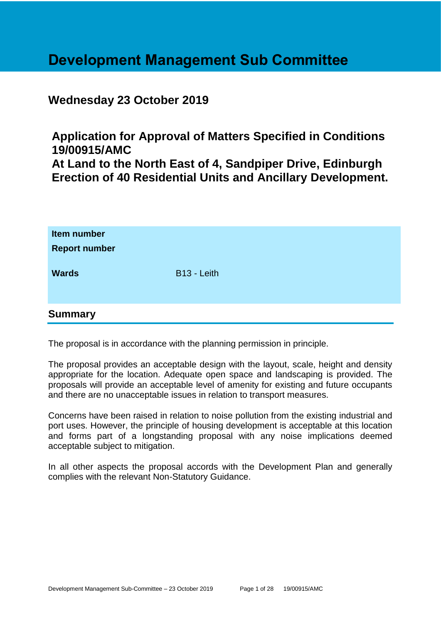# **Development Management Sub Committee**

## **Wednesday 23 October 2019**

**Application for Approval of Matters Specified in Conditions 19/00915/AMC At Land to the North East of 4, Sandpiper Drive, Edinburgh Erection of 40 Residential Units and Ancillary Development.**

| Item number<br><b>Report number</b><br><b>Wards</b> | B <sub>13</sub> - Leith |
|-----------------------------------------------------|-------------------------|
| <b>Summary</b>                                      |                         |

The proposal is in accordance with the planning permission in principle.

The proposal provides an acceptable design with the layout, scale, height and density appropriate for the location. Adequate open space and landscaping is provided. The proposals will provide an acceptable level of amenity for existing and future occupants and there are no unacceptable issues in relation to transport measures.

Concerns have been raised in relation to noise pollution from the existing industrial and port uses. However, the principle of housing development is acceptable at this location and forms part of a longstanding proposal with any noise implications deemed acceptable subject to mitigation.

In all other aspects the proposal accords with the Development Plan and generally complies with the relevant Non-Statutory Guidance.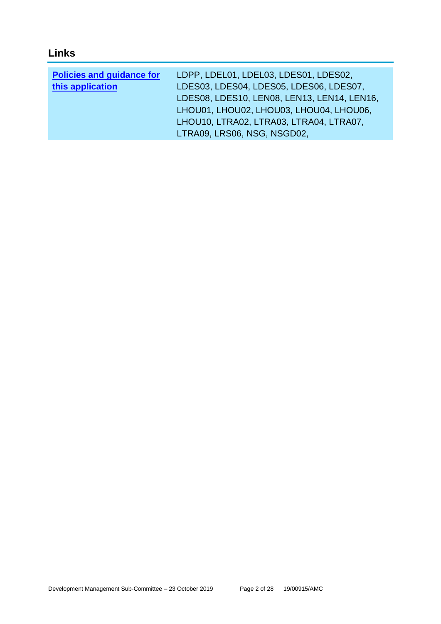# **Links**

| <b>Policies and guidance for</b> | LDPP, LDEL01, LDEL03, LDES01, LDES02,       |
|----------------------------------|---------------------------------------------|
| this application                 | LDES03, LDES04, LDES05, LDES06, LDES07,     |
|                                  | LDES08, LDES10, LEN08, LEN13, LEN14, LEN16, |
|                                  | LHOU01, LHOU02, LHOU03, LHOU04, LHOU06,     |
|                                  | LHOU10, LTRA02, LTRA03, LTRA04, LTRA07,     |
|                                  | LTRA09, LRS06, NSG, NSGD02,                 |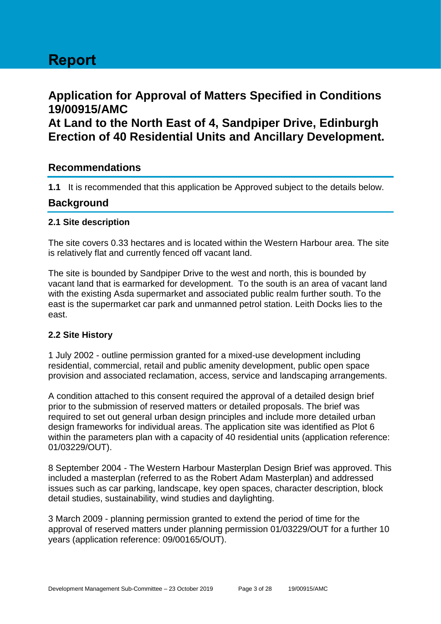# **Application for Approval of Matters Specified in Conditions 19/00915/AMC**

**At Land to the North East of 4, Sandpiper Drive, Edinburgh Erection of 40 Residential Units and Ancillary Development.**

## **Recommendations**

**1.1** It is recommended that this application be Approved subject to the details below.

## **Background**

## **2.1 Site description**

The site covers 0.33 hectares and is located within the Western Harbour area. The site is relatively flat and currently fenced off vacant land.

The site is bounded by Sandpiper Drive to the west and north, this is bounded by vacant land that is earmarked for development. To the south is an area of vacant land with the existing Asda supermarket and associated public realm further south. To the east is the supermarket car park and unmanned petrol station. Leith Docks lies to the east.

## **2.2 Site History**

1 July 2002 - outline permission granted for a mixed-use development including residential, commercial, retail and public amenity development, public open space provision and associated reclamation, access, service and landscaping arrangements.

A condition attached to this consent required the approval of a detailed design brief prior to the submission of reserved matters or detailed proposals. The brief was required to set out general urban design principles and include more detailed urban design frameworks for individual areas. The application site was identified as Plot 6 within the parameters plan with a capacity of 40 residential units (application reference: 01/03229/OUT).

8 September 2004 - The Western Harbour Masterplan Design Brief was approved. This included a masterplan (referred to as the Robert Adam Masterplan) and addressed issues such as car parking, landscape, key open spaces, character description, block detail studies, sustainability, wind studies and daylighting.

3 March 2009 - planning permission granted to extend the period of time for the approval of reserved matters under planning permission 01/03229/OUT for a further 10 years (application reference: 09/00165/OUT).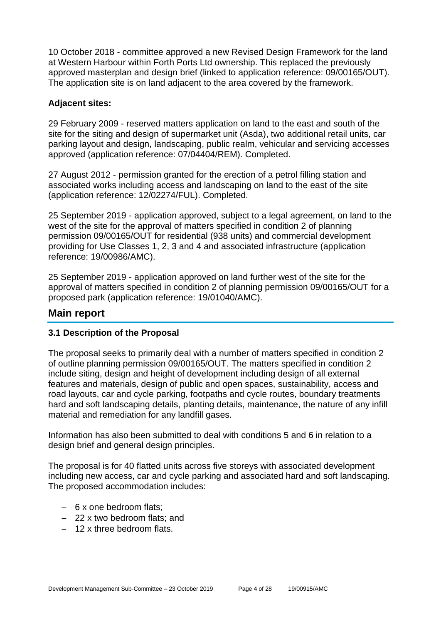10 October 2018 - committee approved a new Revised Design Framework for the land at Western Harbour within Forth Ports Ltd ownership. This replaced the previously approved masterplan and design brief (linked to application reference: 09/00165/OUT). The application site is on land adjacent to the area covered by the framework.

## **Adjacent sites:**

29 February 2009 - reserved matters application on land to the east and south of the site for the siting and design of supermarket unit (Asda), two additional retail units, car parking layout and design, landscaping, public realm, vehicular and servicing accesses approved (application reference: 07/04404/REM). Completed.

27 August 2012 - permission granted for the erection of a petrol filling station and associated works including access and landscaping on land to the east of the site (application reference: 12/02274/FUL). Completed.

25 September 2019 - application approved, subject to a legal agreement, on land to the west of the site for the approval of matters specified in condition 2 of planning permission 09/00165/OUT for residential (938 units) and commercial development providing for Use Classes 1, 2, 3 and 4 and associated infrastructure (application reference: 19/00986/AMC).

25 September 2019 - application approved on land further west of the site for the approval of matters specified in condition 2 of planning permission 09/00165/OUT for a proposed park (application reference: 19/01040/AMC).

## **Main report**

## **3.1 Description of the Proposal**

The proposal seeks to primarily deal with a number of matters specified in condition 2 of outline planning permission 09/00165/OUT. The matters specified in condition 2 include siting, design and height of development including design of all external features and materials, design of public and open spaces, sustainability, access and road layouts, car and cycle parking, footpaths and cycle routes, boundary treatments hard and soft landscaping details, planting details, maintenance, the nature of any infill material and remediation for any landfill gases.

Information has also been submitted to deal with conditions 5 and 6 in relation to a design brief and general design principles.

The proposal is for 40 flatted units across five storeys with associated development including new access, car and cycle parking and associated hard and soft landscaping. The proposed accommodation includes:

- 6 x one bedroom flats;
- 22 x two bedroom flats; and
- $-12x$  three bedroom flats.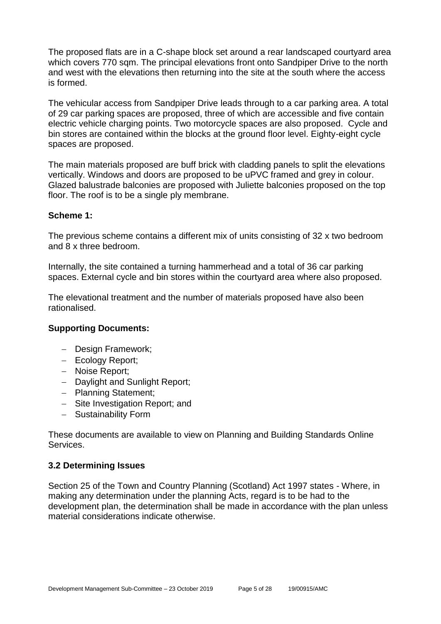The proposed flats are in a C-shape block set around a rear landscaped courtyard area which covers 770 sqm. The principal elevations front onto Sandpiper Drive to the north and west with the elevations then returning into the site at the south where the access is formed.

The vehicular access from Sandpiper Drive leads through to a car parking area. A total of 29 car parking spaces are proposed, three of which are accessible and five contain electric vehicle charging points. Two motorcycle spaces are also proposed. Cycle and bin stores are contained within the blocks at the ground floor level. Eighty-eight cycle spaces are proposed.

The main materials proposed are buff brick with cladding panels to split the elevations vertically. Windows and doors are proposed to be uPVC framed and grey in colour. Glazed balustrade balconies are proposed with Juliette balconies proposed on the top floor. The roof is to be a single ply membrane.

## **Scheme 1:**

The previous scheme contains a different mix of units consisting of 32 x two bedroom and 8 x three bedroom.

Internally, the site contained a turning hammerhead and a total of 36 car parking spaces. External cycle and bin stores within the courtyard area where also proposed.

The elevational treatment and the number of materials proposed have also been rationalised.

## **Supporting Documents:**

- Design Framework;
- Ecology Report;
- Noise Report;
- Daylight and Sunlight Report;
- Planning Statement;
- Site Investigation Report; and
- Sustainability Form

These documents are available to view on Planning and Building Standards Online Services.

#### **3.2 Determining Issues**

Section 25 of the Town and Country Planning (Scotland) Act 1997 states - Where, in making any determination under the planning Acts, regard is to be had to the development plan, the determination shall be made in accordance with the plan unless material considerations indicate otherwise.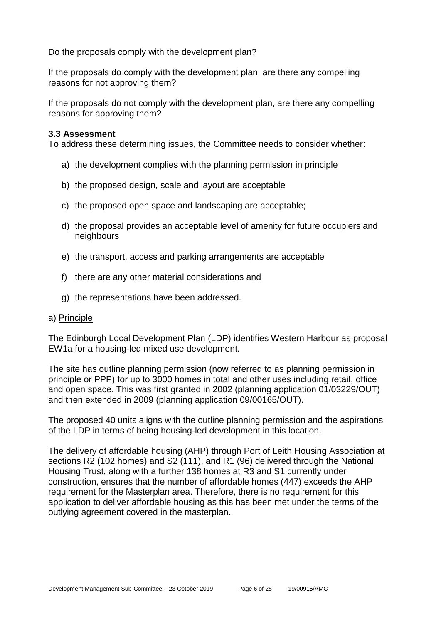Do the proposals comply with the development plan?

If the proposals do comply with the development plan, are there any compelling reasons for not approving them?

If the proposals do not comply with the development plan, are there any compelling reasons for approving them?

#### **3.3 Assessment**

To address these determining issues, the Committee needs to consider whether:

- a) the development complies with the planning permission in principle
- b) the proposed design, scale and layout are acceptable
- c) the proposed open space and landscaping are acceptable;
- d) the proposal provides an acceptable level of amenity for future occupiers and neighbours
- e) the transport, access and parking arrangements are acceptable
- f) there are any other material considerations and
- g) the representations have been addressed.

#### a) Principle

The Edinburgh Local Development Plan (LDP) identifies Western Harbour as proposal EW1a for a housing-led mixed use development.

The site has outline planning permission (now referred to as planning permission in principle or PPP) for up to 3000 homes in total and other uses including retail, office and open space. This was first granted in 2002 (planning application 01/03229/OUT) and then extended in 2009 (planning application 09/00165/OUT).

The proposed 40 units aligns with the outline planning permission and the aspirations of the LDP in terms of being housing-led development in this location.

The delivery of affordable housing (AHP) through Port of Leith Housing Association at sections R2 (102 homes) and S2 (111), and R1 (96) delivered through the National Housing Trust, along with a further 138 homes at R3 and S1 currently under construction, ensures that the number of affordable homes (447) exceeds the AHP requirement for the Masterplan area. Therefore, there is no requirement for this application to deliver affordable housing as this has been met under the terms of the outlying agreement covered in the masterplan.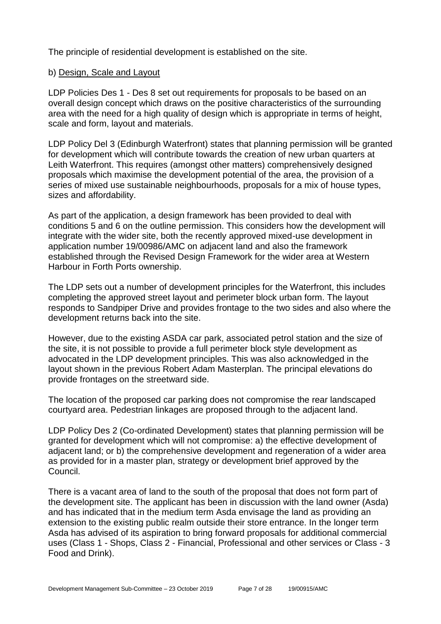The principle of residential development is established on the site.

## b) Design, Scale and Layout

LDP Policies Des 1 - Des 8 set out requirements for proposals to be based on an overall design concept which draws on the positive characteristics of the surrounding area with the need for a high quality of design which is appropriate in terms of height, scale and form, layout and materials.

LDP Policy Del 3 (Edinburgh Waterfront) states that planning permission will be granted for development which will contribute towards the creation of new urban quarters at Leith Waterfront. This requires (amongst other matters) comprehensively designed proposals which maximise the development potential of the area, the provision of a series of mixed use sustainable neighbourhoods, proposals for a mix of house types, sizes and affordability.

As part of the application, a design framework has been provided to deal with conditions 5 and 6 on the outline permission. This considers how the development will integrate with the wider site, both the recently approved mixed-use development in application number 19/00986/AMC on adjacent land and also the framework established through the Revised Design Framework for the wider area at Western Harbour in Forth Ports ownership.

The LDP sets out a number of development principles for the Waterfront, this includes completing the approved street layout and perimeter block urban form. The layout responds to Sandpiper Drive and provides frontage to the two sides and also where the development returns back into the site.

However, due to the existing ASDA car park, associated petrol station and the size of the site, it is not possible to provide a full perimeter block style development as advocated in the LDP development principles. This was also acknowledged in the layout shown in the previous Robert Adam Masterplan. The principal elevations do provide frontages on the streetward side.

The location of the proposed car parking does not compromise the rear landscaped courtyard area. Pedestrian linkages are proposed through to the adjacent land.

LDP Policy Des 2 (Co-ordinated Development) states that planning permission will be granted for development which will not compromise: a) the effective development of adjacent land; or b) the comprehensive development and regeneration of a wider area as provided for in a master plan, strategy or development brief approved by the Council.

There is a vacant area of land to the south of the proposal that does not form part of the development site. The applicant has been in discussion with the land owner (Asda) and has indicated that in the medium term Asda envisage the land as providing an extension to the existing public realm outside their store entrance. In the longer term Asda has advised of its aspiration to bring forward proposals for additional commercial uses (Class 1 - Shops, Class 2 - Financial, Professional and other services or Class - 3 Food and Drink).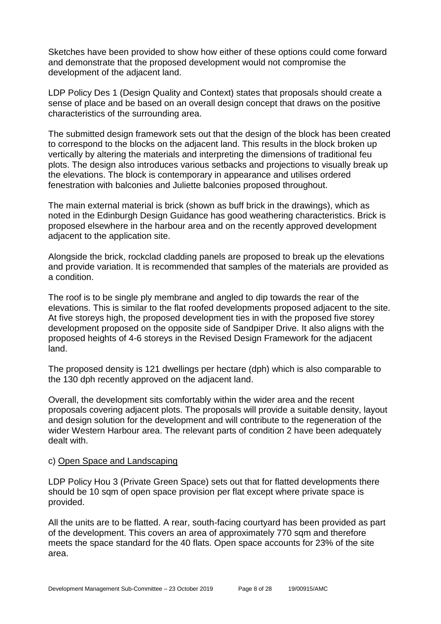Sketches have been provided to show how either of these options could come forward and demonstrate that the proposed development would not compromise the development of the adjacent land.

LDP Policy Des 1 (Design Quality and Context) states that proposals should create a sense of place and be based on an overall design concept that draws on the positive characteristics of the surrounding area.

The submitted design framework sets out that the design of the block has been created to correspond to the blocks on the adjacent land. This results in the block broken up vertically by altering the materials and interpreting the dimensions of traditional feu plots. The design also introduces various setbacks and projections to visually break up the elevations. The block is contemporary in appearance and utilises ordered fenestration with balconies and Juliette balconies proposed throughout.

The main external material is brick (shown as buff brick in the drawings), which as noted in the Edinburgh Design Guidance has good weathering characteristics. Brick is proposed elsewhere in the harbour area and on the recently approved development adjacent to the application site.

Alongside the brick, rockclad cladding panels are proposed to break up the elevations and provide variation. It is recommended that samples of the materials are provided as a condition.

The roof is to be single ply membrane and angled to dip towards the rear of the elevations. This is similar to the flat roofed developments proposed adjacent to the site. At five storeys high, the proposed development ties in with the proposed five storey development proposed on the opposite side of Sandpiper Drive. It also aligns with the proposed heights of 4-6 storeys in the Revised Design Framework for the adjacent land.

The proposed density is 121 dwellings per hectare (dph) which is also comparable to the 130 dph recently approved on the adjacent land.

Overall, the development sits comfortably within the wider area and the recent proposals covering adjacent plots. The proposals will provide a suitable density, layout and design solution for the development and will contribute to the regeneration of the wider Western Harbour area. The relevant parts of condition 2 have been adequately dealt with.

## c) Open Space and Landscaping

LDP Policy Hou 3 (Private Green Space) sets out that for flatted developments there should be 10 sqm of open space provision per flat except where private space is provided.

All the units are to be flatted. A rear, south-facing courtyard has been provided as part of the development. This covers an area of approximately 770 sqm and therefore meets the space standard for the 40 flats. Open space accounts for 23% of the site area.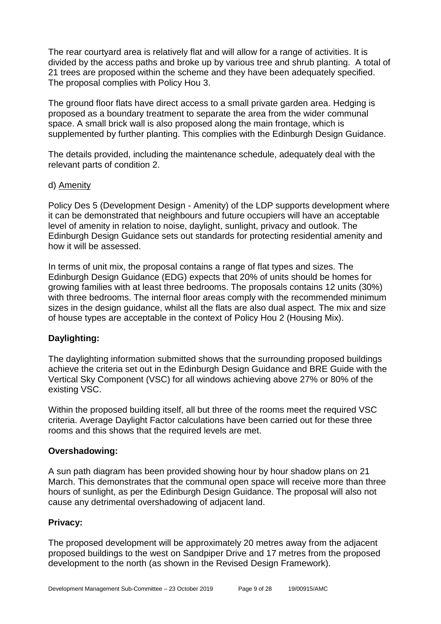The rear courtyard area is relatively flat and will allow for a range of activities. It is divided by the access paths and broke up by various tree and shrub planting. A total of 21 trees are proposed within the scheme and they have been adequately specified. The proposal complies with Policy Hou 3.

The ground floor flats have direct access to a small private garden area. Hedging is proposed as a boundary treatment to separate the area from the wider communal space. A small brick wall is also proposed along the main frontage, which is supplemented by further planting. This complies with the Edinburgh Design Guidance.

The details provided, including the maintenance schedule, adequately deal with the relevant parts of condition 2.

## d) Amenity

Policy Des 5 (Development Design - Amenity) of the LDP supports development where it can be demonstrated that neighbours and future occupiers will have an acceptable level of amenity in relation to noise, daylight, sunlight, privacy and outlook. The Edinburgh Design Guidance sets out standards for protecting residential amenity and how it will be assessed.

In terms of unit mix, the proposal contains a range of flat types and sizes. The Edinburgh Design Guidance (EDG) expects that 20% of units should be homes for growing families with at least three bedrooms. The proposals contains 12 units (30%) with three bedrooms. The internal floor areas comply with the recommended minimum sizes in the design guidance, whilst all the flats are also dual aspect. The mix and size of house types are acceptable in the context of Policy Hou 2 (Housing Mix).

## **Daylighting:**

The daylighting information submitted shows that the surrounding proposed buildings achieve the criteria set out in the Edinburgh Design Guidance and BRE Guide with the Vertical Sky Component (VSC) for all windows achieving above 27% or 80% of the existing VSC.

Within the proposed building itself, all but three of the rooms meet the required VSC criteria. Average Daylight Factor calculations have been carried out for these three rooms and this shows that the required levels are met.

## **Overshadowing:**

A sun path diagram has been provided showing hour by hour shadow plans on 21 March. This demonstrates that the communal open space will receive more than three hours of sunlight, as per the Edinburgh Design Guidance. The proposal will also not cause any detrimental overshadowing of adjacent land.

## **Privacy:**

The proposed development will be approximately 20 metres away from the adjacent proposed buildings to the west on Sandpiper Drive and 17 metres from the proposed development to the north (as shown in the Revised Design Framework).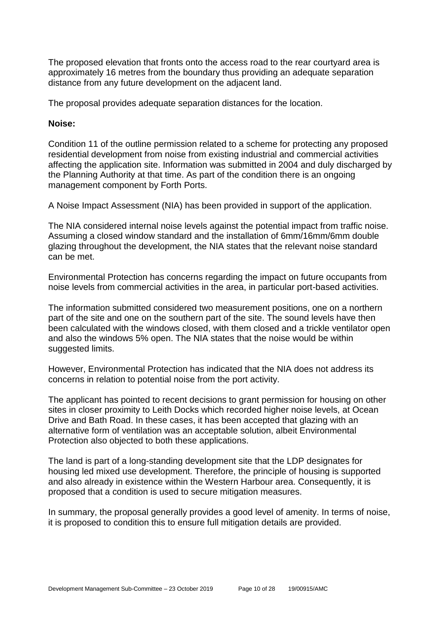The proposed elevation that fronts onto the access road to the rear courtyard area is approximately 16 metres from the boundary thus providing an adequate separation distance from any future development on the adjacent land.

The proposal provides adequate separation distances for the location.

## **Noise:**

Condition 11 of the outline permission related to a scheme for protecting any proposed residential development from noise from existing industrial and commercial activities affecting the application site. Information was submitted in 2004 and duly discharged by the Planning Authority at that time. As part of the condition there is an ongoing management component by Forth Ports.

A Noise Impact Assessment (NIA) has been provided in support of the application.

The NIA considered internal noise levels against the potential impact from traffic noise. Assuming a closed window standard and the installation of 6mm/16mm/6mm double glazing throughout the development, the NIA states that the relevant noise standard can be met.

Environmental Protection has concerns regarding the impact on future occupants from noise levels from commercial activities in the area, in particular port-based activities.

The information submitted considered two measurement positions, one on a northern part of the site and one on the southern part of the site. The sound levels have then been calculated with the windows closed, with them closed and a trickle ventilator open and also the windows 5% open. The NIA states that the noise would be within suggested limits.

However, Environmental Protection has indicated that the NIA does not address its concerns in relation to potential noise from the port activity.

The applicant has pointed to recent decisions to grant permission for housing on other sites in closer proximity to Leith Docks which recorded higher noise levels, at Ocean Drive and Bath Road. In these cases, it has been accepted that glazing with an alternative form of ventilation was an acceptable solution, albeit Environmental Protection also objected to both these applications.

The land is part of a long-standing development site that the LDP designates for housing led mixed use development. Therefore, the principle of housing is supported and also already in existence within the Western Harbour area. Consequently, it is proposed that a condition is used to secure mitigation measures.

In summary, the proposal generally provides a good level of amenity. In terms of noise, it is proposed to condition this to ensure full mitigation details are provided.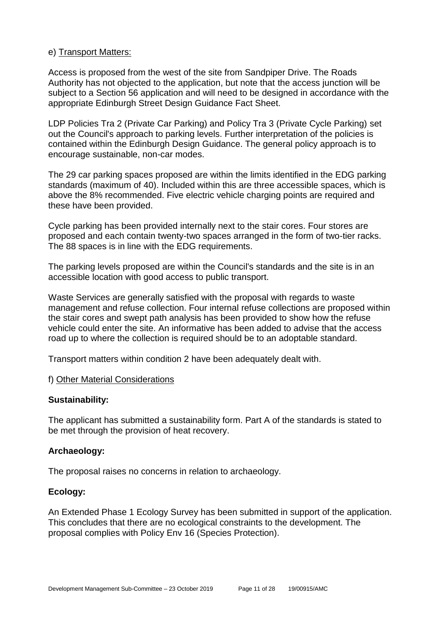## e) Transport Matters:

Access is proposed from the west of the site from Sandpiper Drive. The Roads Authority has not objected to the application, but note that the access junction will be subject to a Section 56 application and will need to be designed in accordance with the appropriate Edinburgh Street Design Guidance Fact Sheet.

LDP Policies Tra 2 (Private Car Parking) and Policy Tra 3 (Private Cycle Parking) set out the Council's approach to parking levels. Further interpretation of the policies is contained within the Edinburgh Design Guidance. The general policy approach is to encourage sustainable, non-car modes.

The 29 car parking spaces proposed are within the limits identified in the EDG parking standards (maximum of 40). Included within this are three accessible spaces, which is above the 8% recommended. Five electric vehicle charging points are required and these have been provided.

Cycle parking has been provided internally next to the stair cores. Four stores are proposed and each contain twenty-two spaces arranged in the form of two-tier racks. The 88 spaces is in line with the EDG requirements.

The parking levels proposed are within the Council's standards and the site is in an accessible location with good access to public transport.

Waste Services are generally satisfied with the proposal with regards to waste management and refuse collection. Four internal refuse collections are proposed within the stair cores and swept path analysis has been provided to show how the refuse vehicle could enter the site. An informative has been added to advise that the access road up to where the collection is required should be to an adoptable standard.

Transport matters within condition 2 have been adequately dealt with.

#### f) Other Material Considerations

## **Sustainability:**

The applicant has submitted a sustainability form. Part A of the standards is stated to be met through the provision of heat recovery.

## **Archaeology:**

The proposal raises no concerns in relation to archaeology.

## **Ecology:**

An Extended Phase 1 Ecology Survey has been submitted in support of the application. This concludes that there are no ecological constraints to the development. The proposal complies with Policy Env 16 (Species Protection).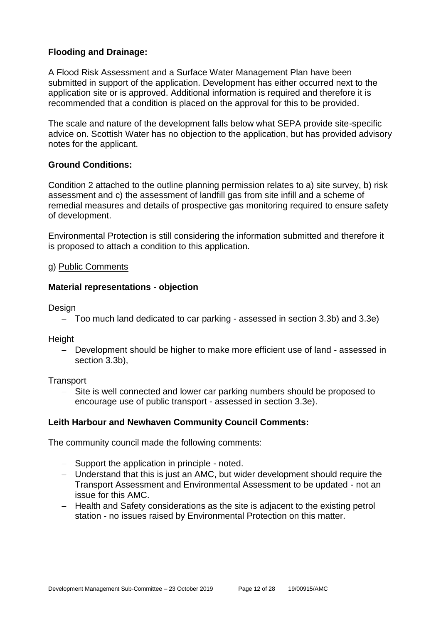## **Flooding and Drainage:**

A Flood Risk Assessment and a Surface Water Management Plan have been submitted in support of the application. Development has either occurred next to the application site or is approved. Additional information is required and therefore it is recommended that a condition is placed on the approval for this to be provided.

The scale and nature of the development falls below what SEPA provide site-specific advice on. Scottish Water has no objection to the application, but has provided advisory notes for the applicant.

## **Ground Conditions:**

Condition 2 attached to the outline planning permission relates to a) site survey, b) risk assessment and c) the assessment of landfill gas from site infill and a scheme of remedial measures and details of prospective gas monitoring required to ensure safety of development.

Environmental Protection is still considering the information submitted and therefore it is proposed to attach a condition to this application.

### g) Public Comments

## **Material representations - objection**

**Design** 

Too much land dedicated to car parking - assessed in section 3.3b) and 3.3e)

**Height** 

- Development should be higher to make more efficient use of land - assessed in section 3.3b),

**Transport** 

 Site is well connected and lower car parking numbers should be proposed to encourage use of public transport - assessed in section 3.3e).

## **Leith Harbour and Newhaven Community Council Comments:**

The community council made the following comments:

- Support the application in principle noted.
- Understand that this is just an AMC, but wider development should require the Transport Assessment and Environmental Assessment to be updated - not an issue for this AMC.
- Health and Safety considerations as the site is adjacent to the existing petrol station - no issues raised by Environmental Protection on this matter.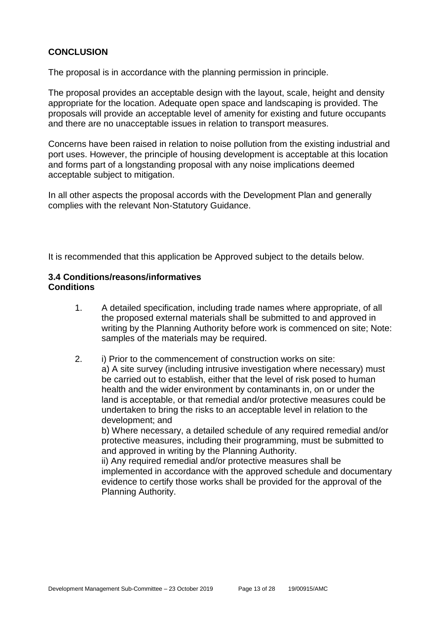## **CONCLUSION**

The proposal is in accordance with the planning permission in principle.

The proposal provides an acceptable design with the layout, scale, height and density appropriate for the location. Adequate open space and landscaping is provided. The proposals will provide an acceptable level of amenity for existing and future occupants and there are no unacceptable issues in relation to transport measures.

Concerns have been raised in relation to noise pollution from the existing industrial and port uses. However, the principle of housing development is acceptable at this location and forms part of a longstanding proposal with any noise implications deemed acceptable subject to mitigation.

In all other aspects the proposal accords with the Development Plan and generally complies with the relevant Non-Statutory Guidance.

It is recommended that this application be Approved subject to the details below.

## **3.4 Conditions/reasons/informatives Conditions**

- 1. A detailed specification, including trade names where appropriate, of all the proposed external materials shall be submitted to and approved in writing by the Planning Authority before work is commenced on site; Note: samples of the materials may be required.
- 2. i) Prior to the commencement of construction works on site: a) A site survey (including intrusive investigation where necessary) must be carried out to establish, either that the level of risk posed to human health and the wider environment by contaminants in, on or under the land is acceptable, or that remedial and/or protective measures could be undertaken to bring the risks to an acceptable level in relation to the development; and

b) Where necessary, a detailed schedule of any required remedial and/or protective measures, including their programming, must be submitted to and approved in writing by the Planning Authority.

ii) Any required remedial and/or protective measures shall be implemented in accordance with the approved schedule and documentary evidence to certify those works shall be provided for the approval of the Planning Authority.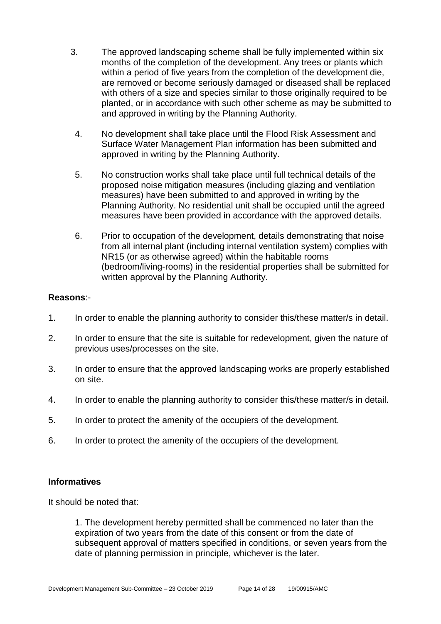- 3. The approved landscaping scheme shall be fully implemented within six months of the completion of the development. Any trees or plants which within a period of five years from the completion of the development die, are removed or become seriously damaged or diseased shall be replaced with others of a size and species similar to those originally required to be planted, or in accordance with such other scheme as may be submitted to and approved in writing by the Planning Authority.
	- 4. No development shall take place until the Flood Risk Assessment and Surface Water Management Plan information has been submitted and approved in writing by the Planning Authority.
	- 5. No construction works shall take place until full technical details of the proposed noise mitigation measures (including glazing and ventilation measures) have been submitted to and approved in writing by the Planning Authority. No residential unit shall be occupied until the agreed measures have been provided in accordance with the approved details.
- 6. Prior to occupation of the development, details demonstrating that noise from all internal plant (including internal ventilation system) complies with NR15 (or as otherwise agreed) within the habitable rooms (bedroom/living-rooms) in the residential properties shall be submitted for written approval by the Planning Authority.

### **Reasons**:-

- 1. In order to enable the planning authority to consider this/these matter/s in detail.
- 2. In order to ensure that the site is suitable for redevelopment, given the nature of previous uses/processes on the site.
- 3. In order to ensure that the approved landscaping works are properly established on site.
- 4. In order to enable the planning authority to consider this/these matter/s in detail.
- 5. In order to protect the amenity of the occupiers of the development.
- 6. In order to protect the amenity of the occupiers of the development.

#### **Informatives**

It should be noted that:

1. The development hereby permitted shall be commenced no later than the expiration of two years from the date of this consent or from the date of subsequent approval of matters specified in conditions, or seven years from the date of planning permission in principle, whichever is the later.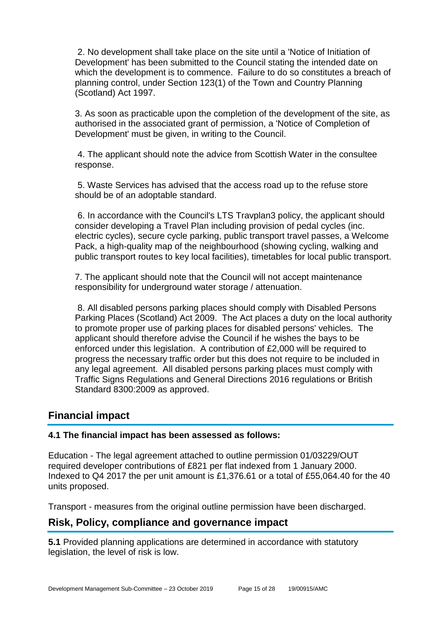2. No development shall take place on the site until a 'Notice of Initiation of Development' has been submitted to the Council stating the intended date on which the development is to commence. Failure to do so constitutes a breach of planning control, under Section 123(1) of the Town and Country Planning (Scotland) Act 1997.

3. As soon as practicable upon the completion of the development of the site, as authorised in the associated grant of permission, a 'Notice of Completion of Development' must be given, in writing to the Council.

4. The applicant should note the advice from Scottish Water in the consultee response.

5. Waste Services has advised that the access road up to the refuse store should be of an adoptable standard.

6. In accordance with the Council's LTS Travplan3 policy, the applicant should consider developing a Travel Plan including provision of pedal cycles (inc. electric cycles), secure cycle parking, public transport travel passes, a Welcome Pack, a high-quality map of the neighbourhood (showing cycling, walking and public transport routes to key local facilities), timetables for local public transport.

7. The applicant should note that the Council will not accept maintenance responsibility for underground water storage / attenuation.

8. All disabled persons parking places should comply with Disabled Persons Parking Places (Scotland) Act 2009. The Act places a duty on the local authority to promote proper use of parking places for disabled persons' vehicles. The applicant should therefore advise the Council if he wishes the bays to be enforced under this legislation. A contribution of £2,000 will be required to progress the necessary traffic order but this does not require to be included in any legal agreement. All disabled persons parking places must comply with Traffic Signs Regulations and General Directions 2016 regulations or British Standard 8300:2009 as approved.

## **Financial impact**

## **4.1 The financial impact has been assessed as follows:**

Education - The legal agreement attached to outline permission 01/03229/OUT required developer contributions of £821 per flat indexed from 1 January 2000. Indexed to Q4 2017 the per unit amount is £1,376.61 or a total of £55,064.40 for the 40 units proposed.

Transport - measures from the original outline permission have been discharged.

## **Risk, Policy, compliance and governance impact**

**5.1** Provided planning applications are determined in accordance with statutory legislation, the level of risk is low.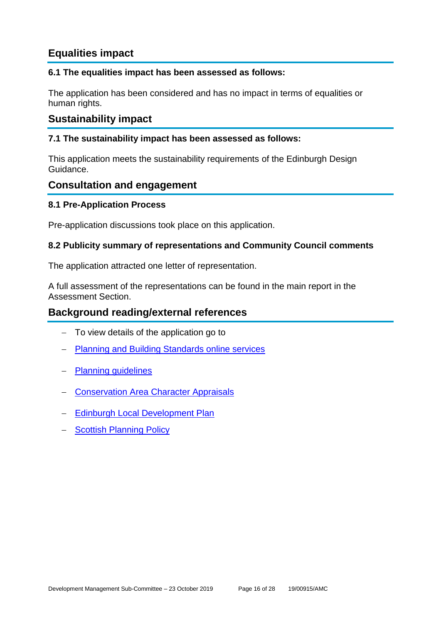## **Equalities impact**

## **6.1 The equalities impact has been assessed as follows:**

The application has been considered and has no impact in terms of equalities or human rights.

## **Sustainability impact**

## **7.1 The sustainability impact has been assessed as follows:**

This application meets the sustainability requirements of the Edinburgh Design Guidance.

## **Consultation and engagement**

## **8.1 Pre-Application Process**

Pre-application discussions took place on this application.

## **8.2 Publicity summary of representations and Community Council comments**

The application attracted one letter of representation.

A full assessment of the representations can be found in the main report in the Assessment Section.

## **Background reading/external references**

- To view details of the application go to
- [Planning and Building Standards online services](https://citydev-portal.edinburgh.gov.uk/idoxpa-web/search.do?action=simple&searchType=Application)
- [Planning guidelines](http://www.edinburgh.gov.uk/planningguidelines)
- [Conservation Area Character Appraisals](http://www.edinburgh.gov.uk/characterappraisals)
- [Edinburgh Local Development Plan](http://www.edinburgh.gov.uk/localdevelopmentplan)
- [Scottish Planning Policy](http://www.scotland.gov.uk/Topics/Built-Environment/planning/Policy)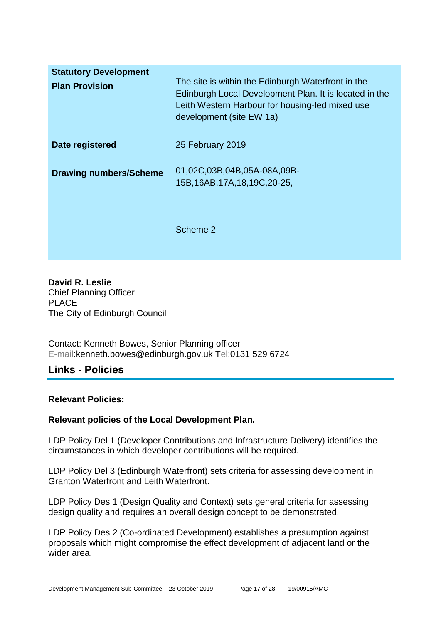| <b>Statutory Development</b><br><b>Plan Provision</b> | The site is within the Edinburgh Waterfront in the<br>Edinburgh Local Development Plan. It is located in the<br>Leith Western Harbour for housing-led mixed use<br>development (site EW 1a) |
|-------------------------------------------------------|---------------------------------------------------------------------------------------------------------------------------------------------------------------------------------------------|
| Date registered                                       | 25 February 2019                                                                                                                                                                            |
| <b>Drawing numbers/Scheme</b>                         | 01,02C,03B,04B,05A-08A,09B-<br>15B, 16AB, 17A, 18, 19C, 20-25,                                                                                                                              |
|                                                       | Scheme 2                                                                                                                                                                                    |

**David R. Leslie** Chief Planning Officer PLACE The City of Edinburgh Council

Contact: Kenneth Bowes, Senior Planning officer E-mail:kenneth.bowes@edinburgh.gov.uk Tel:0131 529 6724

## **Links - Policies**

## **Relevant Policies:**

## **Relevant policies of the Local Development Plan.**

LDP Policy Del 1 (Developer Contributions and Infrastructure Delivery) identifies the circumstances in which developer contributions will be required.

LDP Policy Del 3 (Edinburgh Waterfront) sets criteria for assessing development in Granton Waterfront and Leith Waterfront.

LDP Policy Des 1 (Design Quality and Context) sets general criteria for assessing design quality and requires an overall design concept to be demonstrated.

LDP Policy Des 2 (Co-ordinated Development) establishes a presumption against proposals which might compromise the effect development of adjacent land or the wider area.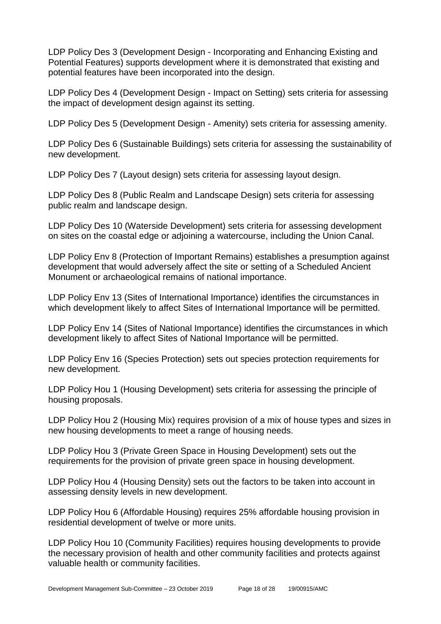LDP Policy Des 3 (Development Design - Incorporating and Enhancing Existing and Potential Features) supports development where it is demonstrated that existing and potential features have been incorporated into the design.

LDP Policy Des 4 (Development Design - Impact on Setting) sets criteria for assessing the impact of development design against its setting.

LDP Policy Des 5 (Development Design - Amenity) sets criteria for assessing amenity.

LDP Policy Des 6 (Sustainable Buildings) sets criteria for assessing the sustainability of new development.

LDP Policy Des 7 (Layout design) sets criteria for assessing layout design.

LDP Policy Des 8 (Public Realm and Landscape Design) sets criteria for assessing public realm and landscape design.

LDP Policy Des 10 (Waterside Development) sets criteria for assessing development on sites on the coastal edge or adjoining a watercourse, including the Union Canal.

LDP Policy Env 8 (Protection of Important Remains) establishes a presumption against development that would adversely affect the site or setting of a Scheduled Ancient Monument or archaeological remains of national importance.

LDP Policy Env 13 (Sites of International Importance) identifies the circumstances in which development likely to affect Sites of International Importance will be permitted.

LDP Policy Env 14 (Sites of National Importance) identifies the circumstances in which development likely to affect Sites of National Importance will be permitted.

LDP Policy Env 16 (Species Protection) sets out species protection requirements for new development.

LDP Policy Hou 1 (Housing Development) sets criteria for assessing the principle of housing proposals.

LDP Policy Hou 2 (Housing Mix) requires provision of a mix of house types and sizes in new housing developments to meet a range of housing needs.

LDP Policy Hou 3 (Private Green Space in Housing Development) sets out the requirements for the provision of private green space in housing development.

LDP Policy Hou 4 (Housing Density) sets out the factors to be taken into account in assessing density levels in new development.

LDP Policy Hou 6 (Affordable Housing) requires 25% affordable housing provision in residential development of twelve or more units.

LDP Policy Hou 10 (Community Facilities) requires housing developments to provide the necessary provision of health and other community facilities and protects against valuable health or community facilities.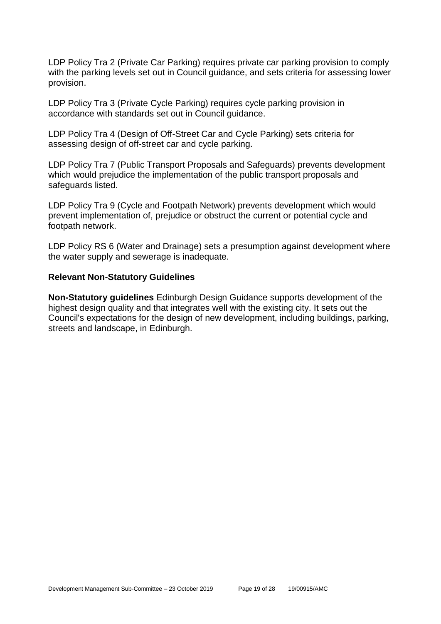LDP Policy Tra 2 (Private Car Parking) requires private car parking provision to comply with the parking levels set out in Council guidance, and sets criteria for assessing lower provision.

LDP Policy Tra 3 (Private Cycle Parking) requires cycle parking provision in accordance with standards set out in Council guidance.

LDP Policy Tra 4 (Design of Off-Street Car and Cycle Parking) sets criteria for assessing design of off-street car and cycle parking.

LDP Policy Tra 7 (Public Transport Proposals and Safeguards) prevents development which would prejudice the implementation of the public transport proposals and safeguards listed.

LDP Policy Tra 9 (Cycle and Footpath Network) prevents development which would prevent implementation of, prejudice or obstruct the current or potential cycle and footpath network.

LDP Policy RS 6 (Water and Drainage) sets a presumption against development where the water supply and sewerage is inadequate.

### **Relevant Non-Statutory Guidelines**

**Non-Statutory guidelines** Edinburgh Design Guidance supports development of the highest design quality and that integrates well with the existing city. It sets out the Council's expectations for the design of new development, including buildings, parking, streets and landscape, in Edinburgh.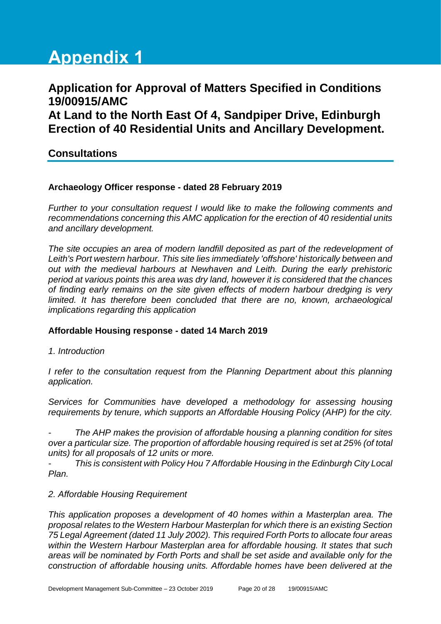# **Appendix 1**

# **Application for Approval of Matters Specified in Conditions 19/00915/AMC At Land to the North East Of 4, Sandpiper Drive, Edinburgh Erection of 40 Residential Units and Ancillary Development.**

## **Consultations**

## **Archaeology Officer response - dated 28 February 2019**

*Further to your consultation request I would like to make the following comments and recommendations concerning this AMC application for the erection of 40 residential units and ancillary development.* 

*The site occupies an area of modern landfill deposited as part of the redevelopment of Leith's Port western harbour. This site lies immediately 'offshore' historically between and out with the medieval harbours at Newhaven and Leith. During the early prehistoric period at various points this area was dry land, however it is considered that the chances of finding early remains on the site given effects of modern harbour dredging is very limited. It has therefore been concluded that there are no, known, archaeological implications regarding this application*

## **Affordable Housing response - dated 14 March 2019**

*1. Introduction*

*I refer to the consultation request from the Planning Department about this planning application.*

*Services for Communities have developed a methodology for assessing housing requirements by tenure, which supports an Affordable Housing Policy (AHP) for the city.*

*- The AHP makes the provision of affordable housing a planning condition for sites over a particular size. The proportion of affordable housing required is set at 25% (of total units) for all proposals of 12 units or more.* 

*- This is consistent with Policy Hou 7 Affordable Housing in the Edinburgh City Local Plan.* 

## *2. Affordable Housing Requirement*

*This application proposes a development of 40 homes within a Masterplan area. The proposal relates to the Western Harbour Masterplan for which there is an existing Section 75 Legal Agreement (dated 11 July 2002). This required Forth Ports to allocate four areas within the Western Harbour Masterplan area for affordable housing. It states that such areas will be nominated by Forth Ports and shall be set aside and available only for the construction of affordable housing units. Affordable homes have been delivered at the*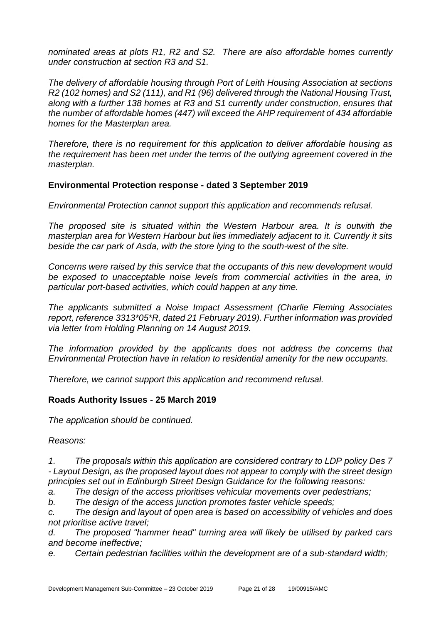*nominated areas at plots R1, R2 and S2. There are also affordable homes currently under construction at section R3 and S1.*

*The delivery of affordable housing through Port of Leith Housing Association at sections R2 (102 homes) and S2 (111), and R1 (96) delivered through the National Housing Trust, along with a further 138 homes at R3 and S1 currently under construction, ensures that the number of affordable homes (447) will exceed the AHP requirement of 434 affordable homes for the Masterplan area.*

*Therefore, there is no requirement for this application to deliver affordable housing as the requirement has been met under the terms of the outlying agreement covered in the masterplan.*

## **Environmental Protection response - dated 3 September 2019**

*Environmental Protection cannot support this application and recommends refusal.* 

*The proposed site is situated within the Western Harbour area. It is outwith the masterplan area for Western Harbour but lies immediately adjacent to it. Currently it sits beside the car park of Asda, with the store lying to the south-west of the site.*

*Concerns were raised by this service that the occupants of this new development would be exposed to unacceptable noise levels from commercial activities in the area, in particular port-based activities, which could happen at any time.*

*The applicants submitted a Noise Impact Assessment (Charlie Fleming Associates report, reference 3313\*05\*R, dated 21 February 2019). Further information was provided via letter from Holding Planning on 14 August 2019.* 

*The information provided by the applicants does not address the concerns that Environmental Protection have in relation to residential amenity for the new occupants.* 

*Therefore, we cannot support this application and recommend refusal.*

## **Roads Authority Issues - 25 March 2019**

*The application should be continued.*

*Reasons:*

*1. The proposals within this application are considered contrary to LDP policy Des 7 - Layout Design, as the proposed layout does not appear to comply with the street design principles set out in Edinburgh Street Design Guidance for the following reasons:*

*a. The design of the access prioritises vehicular movements over pedestrians;*

*b. The design of the access junction promotes faster vehicle speeds;*

*c. The design and layout of open area is based on accessibility of vehicles and does not prioritise active travel;*

*d. The proposed "hammer head" turning area will likely be utilised by parked cars and become ineffective;*

*e. Certain pedestrian facilities within the development are of a sub-standard width;*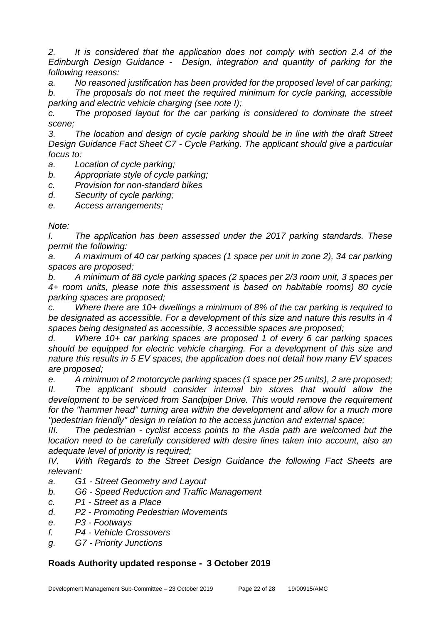*2. It is considered that the application does not comply with section 2.4 of the Edinburgh Design Guidance - Design, integration and quantity of parking for the following reasons:*

*a. No reasoned justification has been provided for the proposed level of car parking; b. The proposals do not meet the required minimum for cycle parking, accessible* 

*parking and electric vehicle charging (see note I);*

*c. The proposed layout for the car parking is considered to dominate the street scene;*

*3. The location and design of cycle parking should be in line with the draft Street Design Guidance Fact Sheet C7 - Cycle Parking. The applicant should give a particular focus to:*

*a. Location of cycle parking;*

*b. Appropriate style of cycle parking;*

- *c. Provision for non-standard bikes*
- *d. Security of cycle parking;*

*e. Access arrangements;*

*Note:*

*I. The application has been assessed under the 2017 parking standards. These permit the following:*

*a. A maximum of 40 car parking spaces (1 space per unit in zone 2), 34 car parking spaces are proposed;*

*b. A minimum of 88 cycle parking spaces (2 spaces per 2/3 room unit, 3 spaces per 4+ room units, please note this assessment is based on habitable rooms) 80 cycle parking spaces are proposed;*

*c. Where there are 10+ dwellings a minimum of 8% of the car parking is required to be designated as accessible. For a development of this size and nature this results in 4 spaces being designated as accessible, 3 accessible spaces are proposed;*

*d. Where 10+ car parking spaces are proposed 1 of every 6 car parking spaces should be equipped for electric vehicle charging. For a development of this size and nature this results in 5 EV spaces, the application does not detail how many EV spaces are proposed;*

*e. A minimum of 2 motorcycle parking spaces (1 space per 25 units), 2 are proposed; II. The applicant should consider internal bin stores that would allow the development to be serviced from Sandpiper Drive. This would remove the requirement*  for the "hammer head" turning area within the development and allow for a much more *"pedestrian friendly" design in relation to the access junction and external space;*

*III. The pedestrian - cyclist access points to the Asda path are welcomed but the location need to be carefully considered with desire lines taken into account, also an adequate level of priority is required;*

*IV. With Regards to the Street Design Guidance the following Fact Sheets are relevant:*

- *a. G1 - Street Geometry and Layout*
- *b. G6 - Speed Reduction and Traffic Management*
- *c. P1 - Street as a Place*
- *d. P2 - Promoting Pedestrian Movements*
- *e. P3 - Footways*
- *f. P4 - Vehicle Crossovers*
- *g. G7 - Priority Junctions*

## **Roads Authority updated response - 3 October 2019**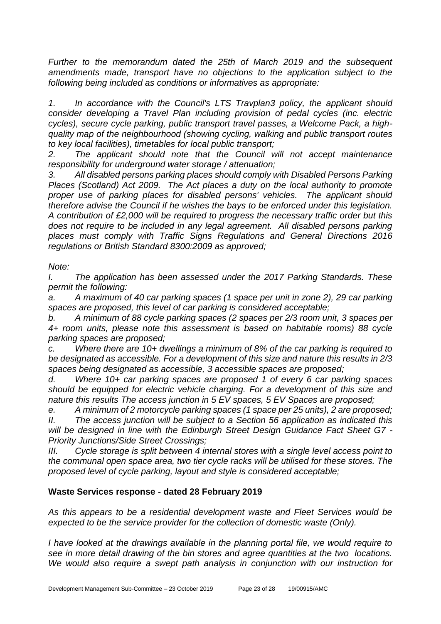*Further to the memorandum dated the 25th of March 2019 and the subsequent amendments made, transport have no objections to the application subject to the following being included as conditions or informatives as appropriate:*

*1. In accordance with the Council's LTS Travplan3 policy, the applicant should consider developing a Travel Plan including provision of pedal cycles (inc. electric cycles), secure cycle parking, public transport travel passes, a Welcome Pack, a highquality map of the neighbourhood (showing cycling, walking and public transport routes to key local facilities), timetables for local public transport;*

*2. The applicant should note that the Council will not accept maintenance responsibility for underground water storage / attenuation;*

*3. All disabled persons parking places should comply with Disabled Persons Parking Places (Scotland) Act 2009. The Act places a duty on the local authority to promote proper use of parking places for disabled persons' vehicles. The applicant should therefore advise the Council if he wishes the bays to be enforced under this legislation. A contribution of £2,000 will be required to progress the necessary traffic order but this does not require to be included in any legal agreement. All disabled persons parking places must comply with Traffic Signs Regulations and General Directions 2016 regulations or British Standard 8300:2009 as approved;*

## *Note:*

*I. The application has been assessed under the 2017 Parking Standards. These permit the following:*

*a. A maximum of 40 car parking spaces (1 space per unit in zone 2), 29 car parking spaces are proposed, this level of car parking is considered acceptable;*

*b. A minimum of 88 cycle parking spaces (2 spaces per 2/3 room unit, 3 spaces per 4+ room units, please note this assessment is based on habitable rooms) 88 cycle parking spaces are proposed;*

*c. Where there are 10+ dwellings a minimum of 8% of the car parking is required to be designated as accessible. For a development of this size and nature this results in 2/3 spaces being designated as accessible, 3 accessible spaces are proposed;*

*d. Where 10+ car parking spaces are proposed 1 of every 6 car parking spaces should be equipped for electric vehicle charging. For a development of this size and nature this results The access junction in 5 EV spaces, 5 EV Spaces are proposed;*

*e. A minimum of 2 motorcycle parking spaces (1 space per 25 units), 2 are proposed; II. The access junction will be subject to a Section 56 application as indicated this will be designed in line with the Edinburgh Street Design Guidance Fact Sheet G7 - Priority Junctions/Side Street Crossings;*

*III. Cycle storage is split between 4 internal stores with a single level access point to the communal open space area, two tier cycle racks will be utilised for these stores. The proposed level of cycle parking, layout and style is considered acceptable;*

## **Waste Services response - dated 28 February 2019**

*As this appears to be a residential development waste and Fleet Services would be expected to be the service provider for the collection of domestic waste (Only).* 

*I have looked at the drawings available in the planning portal file, we would require to see in more detail drawing of the bin stores and agree quantities at the two locations. We would also require a swept path analysis in conjunction with our instruction for*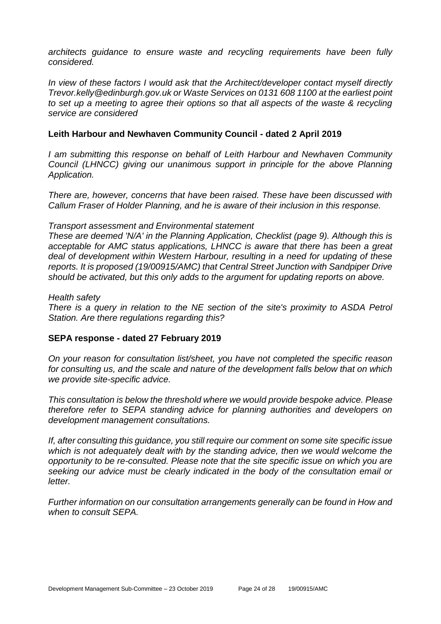*architects guidance to ensure waste and recycling requirements have been fully considered.*

*In view of these factors I would ask that the Architect/developer contact myself directly Trevor.kelly@edinburgh.gov.uk or Waste Services on 0131 608 1100 at the earliest point to set up a meeting to agree their options so that all aspects of the waste & recycling service are considered*

### **Leith Harbour and Newhaven Community Council - dated 2 April 2019**

*I am submitting this response on behalf of Leith Harbour and Newhaven Community Council (LHNCC) giving our unanimous support in principle for the above Planning Application.*

*There are, however, concerns that have been raised. These have been discussed with Callum Fraser of Holder Planning, and he is aware of their inclusion in this response.*

#### *Transport assessment and Environmental statement*

*These are deemed 'N/A' in the Planning Application, Checklist (page 9). Although this is acceptable for AMC status applications, LHNCC is aware that there has been a great deal of development within Western Harbour, resulting in a need for updating of these reports. It is proposed (19/00915/AMC) that Central Street Junction with Sandpiper Drive should be activated, but this only adds to the argument for updating reports on above.*

#### *Health safety*

*There is a query in relation to the NE section of the site's proximity to ASDA Petrol Station. Are there regulations regarding this?*

#### **SEPA response - dated 27 February 2019**

*On your reason for consultation list/sheet, you have not completed the specific reason for consulting us, and the scale and nature of the development falls below that on which we provide site-specific advice.*

*This consultation is below the threshold where we would provide bespoke advice. Please therefore refer to SEPA standing advice for planning authorities and developers on development management consultations.*

*If, after consulting this guidance, you still require our comment on some site specific issue which is not adequately dealt with by the standing advice, then we would welcome the opportunity to be re-consulted. Please note that the site specific issue on which you are seeking our advice must be clearly indicated in the body of the consultation email or letter.*

*Further information on our consultation arrangements generally can be found in How and when to consult SEPA.*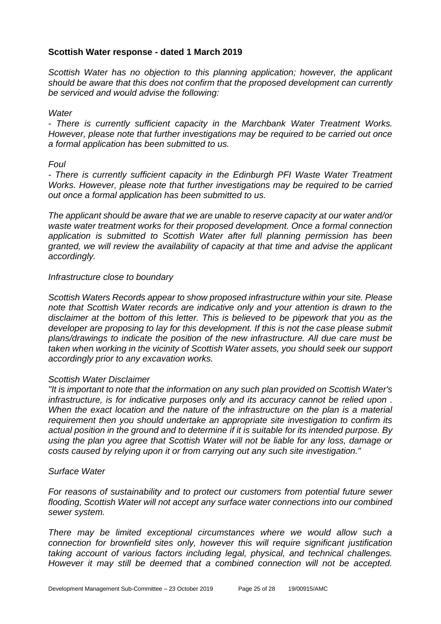## **Scottish Water response - dated 1 March 2019**

*Scottish Water has no objection to this planning application; however, the applicant should be aware that this does not confirm that the proposed development can currently be serviced and would advise the following:*

#### *Water*

*- There is currently sufficient capacity in the Marchbank Water Treatment Works. However, please note that further investigations may be required to be carried out once a formal application has been submitted to us.*

### *Foul*

*- There is currently sufficient capacity in the Edinburgh PFI Waste Water Treatment Works. However, please note that further investigations may be required to be carried out once a formal application has been submitted to us.*

*The applicant should be aware that we are unable to reserve capacity at our water and/or waste water treatment works for their proposed development. Once a formal connection application is submitted to Scottish Water after full planning permission has been granted, we will review the availability of capacity at that time and advise the applicant accordingly.*

### *Infrastructure close to boundary*

*Scottish Waters Records appear to show proposed infrastructure within your site. Please note that Scottish Water records are indicative only and your attention is drawn to the disclaimer at the bottom of this letter. This is believed to be pipework that you as the developer are proposing to lay for this development. If this is not the case please submit plans/drawings to indicate the position of the new infrastructure. All due care must be taken when working in the vicinity of Scottish Water assets, you should seek our support accordingly prior to any excavation works.*

#### *Scottish Water Disclaimer*

*"It is important to note that the information on any such plan provided on Scottish Water's infrastructure, is for indicative purposes only and its accuracy cannot be relied upon . When the exact location and the nature of the infrastructure on the plan is a material requirement then you should undertake an appropriate site investigation to confirm its actual position in the ground and to determine if it is suitable for its intended purpose. By using the plan you agree that Scottish Water will not be liable for any loss, damage or costs caused by relying upon it or from carrying out any such site investigation."*

#### *Surface Water*

*For reasons of sustainability and to protect our customers from potential future sewer flooding, Scottish Water will not accept any surface water connections into our combined sewer system.*

*There may be limited exceptional circumstances where we would allow such a connection for brownfield sites only, however this will require significant justification taking account of various factors including legal, physical, and technical challenges. However it may still be deemed that a combined connection will not be accepted.*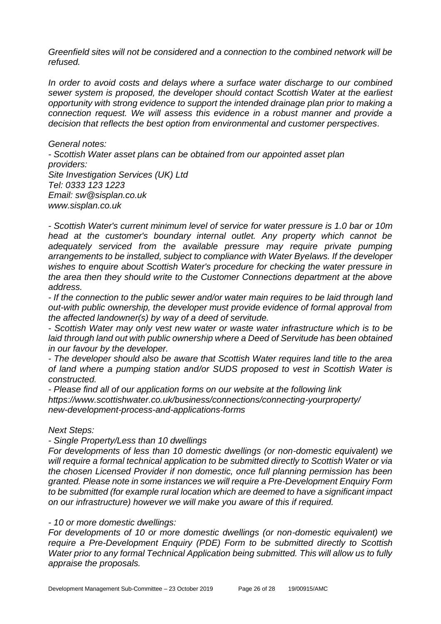*Greenfield sites will not be considered and a connection to the combined network will be refused.*

*In order to avoid costs and delays where a surface water discharge to our combined sewer system is proposed, the developer should contact Scottish Water at the earliest opportunity with strong evidence to support the intended drainage plan prior to making a connection request. We will assess this evidence in a robust manner and provide a decision that reflects the best option from environmental and customer perspectives.*

*General notes: - Scottish Water asset plans can be obtained from our appointed asset plan providers: Site Investigation Services (UK) Ltd Tel: 0333 123 1223 Email: sw@sisplan.co.uk www.sisplan.co.uk*

*- Scottish Water's current minimum level of service for water pressure is 1.0 bar or 10m head at the customer's boundary internal outlet. Any property which cannot be adequately serviced from the available pressure may require private pumping arrangements to be installed, subject to compliance with Water Byelaws. If the developer wishes to enquire about Scottish Water's procedure for checking the water pressure in the area then they should write to the Customer Connections department at the above address.*

*- If the connection to the public sewer and/or water main requires to be laid through land out-with public ownership, the developer must provide evidence of formal approval from the affected landowner(s) by way of a deed of servitude.*

*- Scottish Water may only vest new water or waste water infrastructure which is to be laid through land out with public ownership where a Deed of Servitude has been obtained in our favour by the developer.*

*- The developer should also be aware that Scottish Water requires land title to the area of land where a pumping station and/or SUDS proposed to vest in Scottish Water is constructed.*

*- Please find all of our application forms on our website at the following link https://www.scottishwater.co.uk/business/connections/connecting-yourproperty/ new-development-process-and-applications-forms*

#### *Next Steps:*

*- Single Property/Less than 10 dwellings*

*For developments of less than 10 domestic dwellings (or non-domestic equivalent) we will require a formal technical application to be submitted directly to Scottish Water or via the chosen Licensed Provider if non domestic, once full planning permission has been granted. Please note in some instances we will require a Pre-Development Enquiry Form to be submitted (for example rural location which are deemed to have a significant impact on our infrastructure) however we will make you aware of this if required.*

#### *- 10 or more domestic dwellings:*

*For developments of 10 or more domestic dwellings (or non-domestic equivalent) we require a Pre-Development Enquiry (PDE) Form to be submitted directly to Scottish Water prior to any formal Technical Application being submitted. This will allow us to fully appraise the proposals.*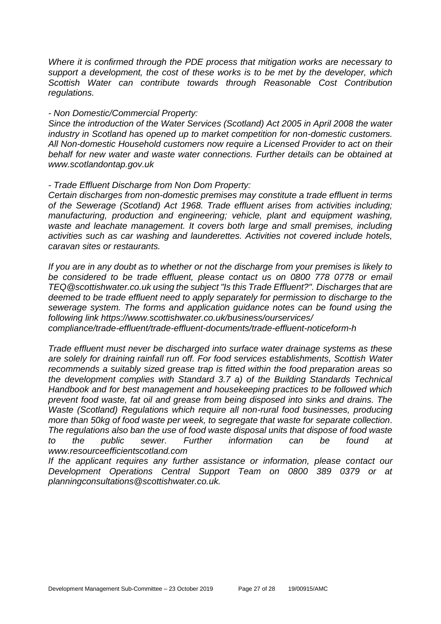*Where it is confirmed through the PDE process that mitigation works are necessary to support a development, the cost of these works is to be met by the developer, which Scottish Water can contribute towards through Reasonable Cost Contribution regulations.*

#### *- Non Domestic/Commercial Property:*

*Since the introduction of the Water Services (Scotland) Act 2005 in April 2008 the water industry in Scotland has opened up to market competition for non-domestic customers. All Non-domestic Household customers now require a Licensed Provider to act on their behalf for new water and waste water connections. Further details can be obtained at www.scotlandontap.gov.uk*

### *- Trade Effluent Discharge from Non Dom Property:*

*Certain discharges from non-domestic premises may constitute a trade effluent in terms of the Sewerage (Scotland) Act 1968. Trade effluent arises from activities including; manufacturing, production and engineering; vehicle, plant and equipment washing,*  waste and leachate management. It covers both large and small premises, including *activities such as car washing and launderettes. Activities not covered include hotels, caravan sites or restaurants.*

*If you are in any doubt as to whether or not the discharge from your premises is likely to be considered to be trade effluent, please contact us on 0800 778 0778 or email TEQ@scottishwater.co.uk using the subject "Is this Trade Effluent?". Discharges that are deemed to be trade effluent need to apply separately for permission to discharge to the sewerage system. The forms and application guidance notes can be found using the following link https://www.scottishwater.co.uk/business/ourservices/*

*compliance/trade-effluent/trade-effluent-documents/trade-effluent-noticeform-h*

*Trade effluent must never be discharged into surface water drainage systems as these are solely for draining rainfall run off. For food services establishments, Scottish Water recommends a suitably sized grease trap is fitted within the food preparation areas so the development complies with Standard 3.7 a) of the Building Standards Technical Handbook and for best management and housekeeping practices to be followed which prevent food waste, fat oil and grease from being disposed into sinks and drains. The Waste (Scotland) Regulations which require all non-rural food businesses, producing more than 50kg of food waste per week, to segregate that waste for separate collection. The regulations also ban the use of food waste disposal units that dispose of food waste to the public sewer. Further information can be found at www.resourceefficientscotland.com*

*If the applicant requires any further assistance or information, please contact our Development Operations Central Support Team on 0800 389 0379 or at planningconsultations@scottishwater.co.uk.*